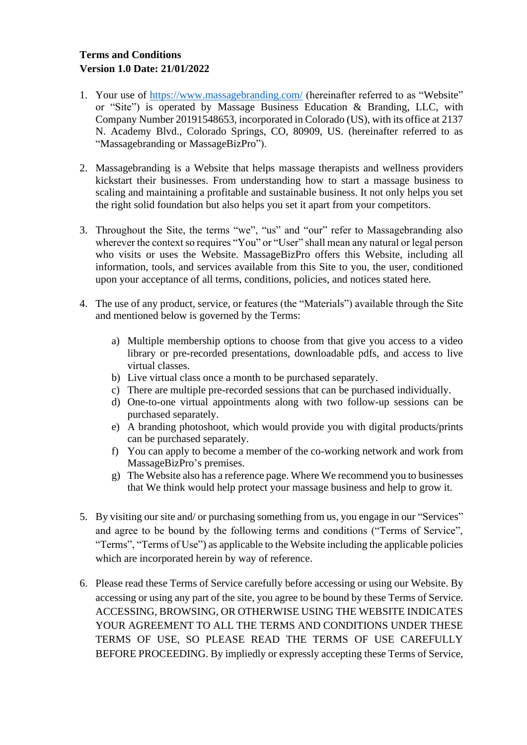## **Terms and Conditions Version 1.0 Date: 21/01/2022**

- 1. Your use of<https://www.massagebranding.com/> (hereinafter referred to as "Website" or "Site") is operated by Massage Business Education & Branding, LLC, with Company Number 20191548653, incorporated in Colorado (US), with its office at 2137 N. Academy Blvd., Colorado Springs, CO, 80909, US. (hereinafter referred to as "Massagebranding or MassageBizPro").
- 2. Massagebranding is a Website that helps massage therapists and wellness providers kickstart their businesses. From understanding how to start a massage business to scaling and maintaining a profitable and sustainable business. It not only helps you set the right solid foundation but also helps you set it apart from your competitors.
- 3. Throughout the Site, the terms "we", "us" and "our" refer to Massagebranding also wherever the context so requires "You" or "User" shall mean any natural or legal person who visits or uses the Website. MassageBizPro offers this Website, including all information, tools, and services available from this Site to you, the user, conditioned upon your acceptance of all terms, conditions, policies, and notices stated here.
- 4. The use of any product, service, or features (the "Materials") available through the Site and mentioned below is governed by the Terms:
	- a) Multiple membership options to choose from that give you access to a video library or pre-recorded presentations, downloadable pdfs, and access to live virtual classes.
	- b) Live virtual class once a month to be purchased separately.
	- c) There are multiple pre-recorded sessions that can be purchased individually.
	- d) One-to-one virtual appointments along with two follow-up sessions can be purchased separately.
	- e) A branding photoshoot, which would provide you with digital products/prints can be purchased separately.
	- f) You can apply to become a member of the co-working network and work from MassageBizPro's premises.
	- g) The Website also has a reference page. Where We recommend you to businesses that We think would help protect your massage business and help to grow it.
- 5. By visiting our site and/ or purchasing something from us, you engage in our "Services" and agree to be bound by the following terms and conditions ("Terms of Service", "Terms", "Terms of Use") as applicable to the Website including the applicable policies which are incorporated herein by way of reference.
- 6. Please read these Terms of Service carefully before accessing or using our Website. By accessing or using any part of the site, you agree to be bound by these Terms of Service. ACCESSING, BROWSING, OR OTHERWISE USING THE WEBSITE INDICATES YOUR AGREEMENT TO ALL THE TERMS AND CONDITIONS UNDER THESE TERMS OF USE, SO PLEASE READ THE TERMS OF USE CAREFULLY BEFORE PROCEEDING. By impliedly or expressly accepting these Terms of Service,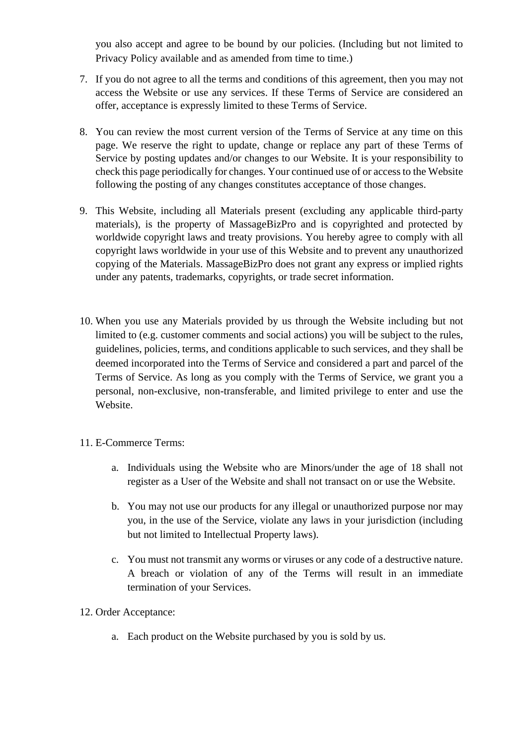you also accept and agree to be bound by our policies. (Including but not limited to Privacy Policy available and as amended from time to time.)

- 7. If you do not agree to all the terms and conditions of this agreement, then you may not access the Website or use any services. If these Terms of Service are considered an offer, acceptance is expressly limited to these Terms of Service.
- 8. You can review the most current version of the Terms of Service at any time on this page. We reserve the right to update, change or replace any part of these Terms of Service by posting updates and/or changes to our Website. It is your responsibility to check this page periodically for changes. Your continued use of or access to the Website following the posting of any changes constitutes acceptance of those changes.
- 9. This Website, including all Materials present (excluding any applicable third-party materials), is the property of MassageBizPro and is copyrighted and protected by worldwide copyright laws and treaty provisions. You hereby agree to comply with all copyright laws worldwide in your use of this Website and to prevent any unauthorized copying of the Materials. MassageBizPro does not grant any express or implied rights under any patents, trademarks, copyrights, or trade secret information.
- 10. When you use any Materials provided by us through the Website including but not limited to (e.g. customer comments and social actions) you will be subject to the rules, guidelines, policies, terms, and conditions applicable to such services, and they shall be deemed incorporated into the Terms of Service and considered a part and parcel of the Terms of Service. As long as you comply with the Terms of Service, we grant you a personal, non-exclusive, non-transferable, and limited privilege to enter and use the Website.
- 11. E-Commerce Terms:
	- a. Individuals using the Website who are Minors/under the age of 18 shall not register as a User of the Website and shall not transact on or use the Website.
	- b. You may not use our products for any illegal or unauthorized purpose nor may you, in the use of the Service, violate any laws in your jurisdiction (including but not limited to Intellectual Property laws).
	- c. You must not transmit any worms or viruses or any code of a destructive nature. A breach or violation of any of the Terms will result in an immediate termination of your Services.
- 12. Order Acceptance:
	- a. Each product on the Website purchased by you is sold by us.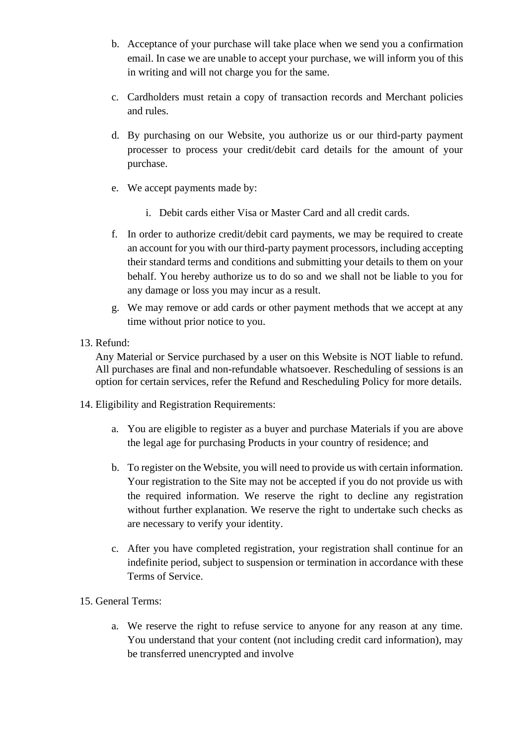- b. Acceptance of your purchase will take place when we send you a confirmation email. In case we are unable to accept your purchase, we will inform you of this in writing and will not charge you for the same.
- c. Cardholders must retain a copy of transaction records and Merchant policies and rules.
- d. By purchasing on our Website, you authorize us or our third-party payment processer to process your credit/debit card details for the amount of your purchase.
- e. We accept payments made by:
	- i. Debit cards either Visa or Master Card and all credit cards.
- f. In order to authorize credit/debit card payments, we may be required to create an account for you with our third-party payment processors, including accepting their standard terms and conditions and submitting your details to them on your behalf. You hereby authorize us to do so and we shall not be liable to you for any damage or loss you may incur as a result.
- g. We may remove or add cards or other payment methods that we accept at any time without prior notice to you.
- 13. Refund:

Any Material or Service purchased by a user on this Website is NOT liable to refund. All purchases are final and non-refundable whatsoever. Rescheduling of sessions is an option for certain services, refer the Refund and Rescheduling Policy for more details.

- 14. Eligibility and Registration Requirements:
	- a. You are eligible to register as a buyer and purchase Materials if you are above the legal age for purchasing Products in your country of residence; and
	- b. To register on the Website, you will need to provide us with certain information. Your registration to the Site may not be accepted if you do not provide us with the required information. We reserve the right to decline any registration without further explanation. We reserve the right to undertake such checks as are necessary to verify your identity.
	- c. After you have completed registration, your registration shall continue for an indefinite period, subject to suspension or termination in accordance with these Terms of Service.
- 15. General Terms:
	- a. We reserve the right to refuse service to anyone for any reason at any time. You understand that your content (not including credit card information), may be transferred unencrypted and involve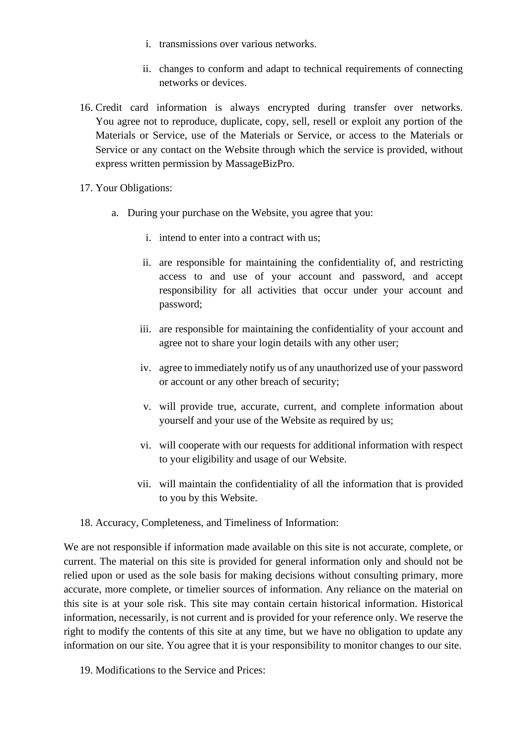- i. transmissions over various networks.
- ii. changes to conform and adapt to technical requirements of connecting networks or devices.
- 16. Credit card information is always encrypted during transfer over networks. You agree not to reproduce, duplicate, copy, sell, resell or exploit any portion of the Materials or Service, use of the Materials or Service, or access to the Materials or Service or any contact on the Website through which the service is provided, without express written permission by MassageBizPro.
- 17. Your Obligations:
	- a. During your purchase on the Website, you agree that you:
		- i. intend to enter into a contract with us;
		- ii. are responsible for maintaining the confidentiality of, and restricting access to and use of your account and password, and accept responsibility for all activities that occur under your account and password;
		- iii. are responsible for maintaining the confidentiality of your account and agree not to share your login details with any other user;
		- iv. agree to immediately notify us of any unauthorized use of your password or account or any other breach of security;
		- v. will provide true, accurate, current, and complete information about yourself and your use of the Website as required by us;
		- vi. will cooperate with our requests for additional information with respect to your eligibility and usage of our Website.
		- vii. will maintain the confidentiality of all the information that is provided to you by this Website.
- 18. Accuracy, Completeness, and Timeliness of Information:

We are not responsible if information made available on this site is not accurate, complete, or current. The material on this site is provided for general information only and should not be relied upon or used as the sole basis for making decisions without consulting primary, more accurate, more complete, or timelier sources of information. Any reliance on the material on this site is at your sole risk. This site may contain certain historical information. Historical information, necessarily, is not current and is provided for your reference only. We reserve the right to modify the contents of this site at any time, but we have no obligation to update any information on our site. You agree that it is your responsibility to monitor changes to our site.

19. Modifications to the Service and Prices: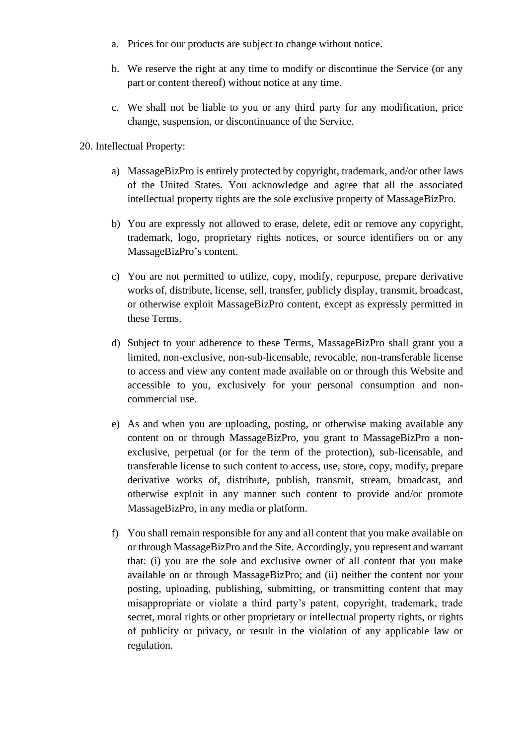- a. Prices for our products are subject to change without notice.
- b. We reserve the right at any time to modify or discontinue the Service (or any part or content thereof) without notice at any time.
- c. We shall not be liable to you or any third party for any modification, price change, suspension, or discontinuance of the Service.

20. Intellectual Property:

- a) MassageBizPro is entirely protected by copyright, trademark, and/or other laws of the United States. You acknowledge and agree that all the associated intellectual property rights are the sole exclusive property of MassageBizPro.
- b) You are expressly not allowed to erase, delete, edit or remove any copyright, trademark, logo, proprietary rights notices, or source identifiers on or any MassageBizPro's content.
- c) You are not permitted to utilize, copy, modify, repurpose, prepare derivative works of, distribute, license, sell, transfer, publicly display, transmit, broadcast, or otherwise exploit MassageBizPro content, except as expressly permitted in these Terms.
- d) Subject to your adherence to these Terms, MassageBizPro shall grant you a limited, non-exclusive, non-sub-licensable, revocable, non-transferable license to access and view any content made available on or through this Website and accessible to you, exclusively for your personal consumption and noncommercial use.
- e) As and when you are uploading, posting, or otherwise making available any content on or through MassageBizPro, you grant to MassageBizPro a nonexclusive, perpetual (or for the term of the protection), sub-licensable, and transferable license to such content to access, use, store, copy, modify, prepare derivative works of, distribute, publish, transmit, stream, broadcast, and otherwise exploit in any manner such content to provide and/or promote MassageBizPro, in any media or platform.
- f) You shall remain responsible for any and all content that you make available on or through MassageBizPro and the Site. Accordingly, you represent and warrant that: (i) you are the sole and exclusive owner of all content that you make available on or through MassageBizPro; and (ii) neither the content nor your posting, uploading, publishing, submitting, or transmitting content that may misappropriate or violate a third party's patent, copyright, trademark, trade secret, moral rights or other proprietary or intellectual property rights, or rights of publicity or privacy, or result in the violation of any applicable law or regulation.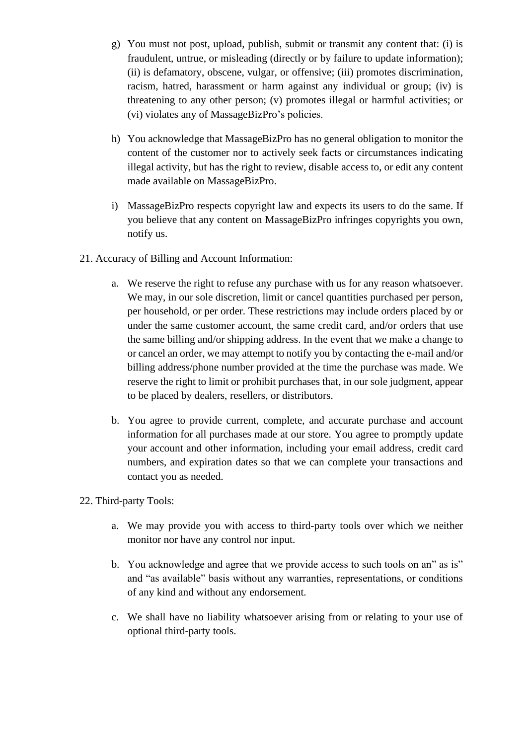- g) You must not post, upload, publish, submit or transmit any content that: (i) is fraudulent, untrue, or misleading (directly or by failure to update information); (ii) is defamatory, obscene, vulgar, or offensive; (iii) promotes discrimination, racism, hatred, harassment or harm against any individual or group; (iv) is threatening to any other person; (v) promotes illegal or harmful activities; or (vi) violates any of MassageBizPro's policies.
- h) You acknowledge that MassageBizPro has no general obligation to monitor the content of the customer nor to actively seek facts or circumstances indicating illegal activity, but has the right to review, disable access to, or edit any content made available on MassageBizPro.
- i) MassageBizPro respects copyright law and expects its users to do the same. If you believe that any content on MassageBizPro infringes copyrights you own, notify us.
- 21. Accuracy of Billing and Account Information:
	- a. We reserve the right to refuse any purchase with us for any reason whatsoever. We may, in our sole discretion, limit or cancel quantities purchased per person, per household, or per order. These restrictions may include orders placed by or under the same customer account, the same credit card, and/or orders that use the same billing and/or shipping address. In the event that we make a change to or cancel an order, we may attempt to notify you by contacting the e-mail and/or billing address/phone number provided at the time the purchase was made. We reserve the right to limit or prohibit purchases that, in our sole judgment, appear to be placed by dealers, resellers, or distributors.
	- b. You agree to provide current, complete, and accurate purchase and account information for all purchases made at our store. You agree to promptly update your account and other information, including your email address, credit card numbers, and expiration dates so that we can complete your transactions and contact you as needed.
- 22. Third-party Tools:
	- a. We may provide you with access to third-party tools over which we neither monitor nor have any control nor input.
	- b. You acknowledge and agree that we provide access to such tools on an" as is" and "as available" basis without any warranties, representations, or conditions of any kind and without any endorsement.
	- c. We shall have no liability whatsoever arising from or relating to your use of optional third-party tools.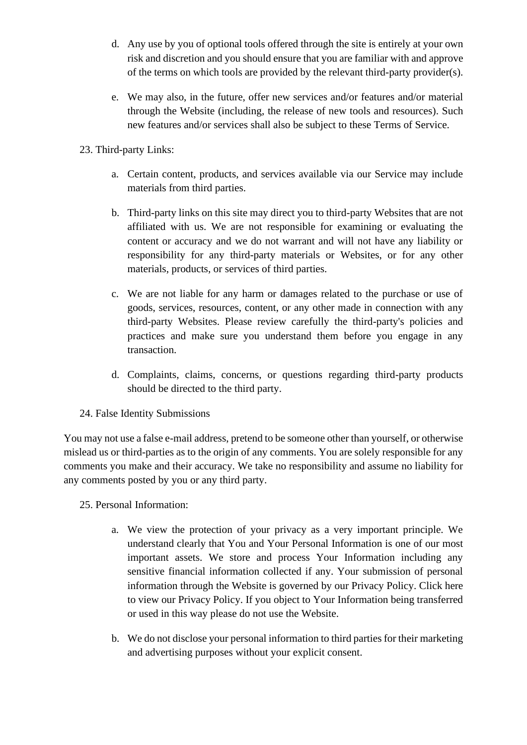- d. Any use by you of optional tools offered through the site is entirely at your own risk and discretion and you should ensure that you are familiar with and approve of the terms on which tools are provided by the relevant third-party provider(s).
- e. We may also, in the future, offer new services and/or features and/or material through the Website (including, the release of new tools and resources). Such new features and/or services shall also be subject to these Terms of Service.
- 23. Third-party Links:
	- a. Certain content, products, and services available via our Service may include materials from third parties.
	- b. Third-party links on this site may direct you to third-party Websites that are not affiliated with us. We are not responsible for examining or evaluating the content or accuracy and we do not warrant and will not have any liability or responsibility for any third-party materials or Websites, or for any other materials, products, or services of third parties.
	- c. We are not liable for any harm or damages related to the purchase or use of goods, services, resources, content, or any other made in connection with any third-party Websites. Please review carefully the third-party's policies and practices and make sure you understand them before you engage in any transaction.
	- d. Complaints, claims, concerns, or questions regarding third-party products should be directed to the third party.
- 24. False Identity Submissions

You may not use a false e-mail address, pretend to be someone other than yourself, or otherwise mislead us or third-parties as to the origin of any comments. You are solely responsible for any comments you make and their accuracy. We take no responsibility and assume no liability for any comments posted by you or any third party.

- 25. Personal Information:
	- a. We view the protection of your privacy as a very important principle. We understand clearly that You and Your Personal Information is one of our most important assets. We store and process Your Information including any sensitive financial information collected if any. Your submission of personal information through the Website is governed by our Privacy Policy. Click here to view our Privacy Policy. If you object to Your Information being transferred or used in this way please do not use the Website.
	- b. We do not disclose your personal information to third parties for their marketing and advertising purposes without your explicit consent.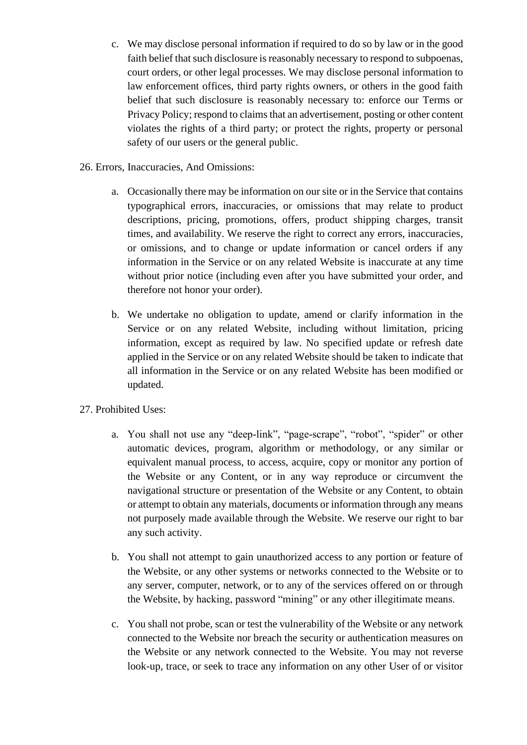- c. We may disclose personal information if required to do so by law or in the good faith belief that such disclosure is reasonably necessary to respond to subpoenas, court orders, or other legal processes. We may disclose personal information to law enforcement offices, third party rights owners, or others in the good faith belief that such disclosure is reasonably necessary to: enforce our Terms or Privacy Policy; respond to claims that an advertisement, posting or other content violates the rights of a third party; or protect the rights, property or personal safety of our users or the general public.
- 26. Errors, Inaccuracies, And Omissions:
	- a. Occasionally there may be information on our site or in the Service that contains typographical errors, inaccuracies, or omissions that may relate to product descriptions, pricing, promotions, offers, product shipping charges, transit times, and availability. We reserve the right to correct any errors, inaccuracies, or omissions, and to change or update information or cancel orders if any information in the Service or on any related Website is inaccurate at any time without prior notice (including even after you have submitted your order, and therefore not honor your order).
	- b. We undertake no obligation to update, amend or clarify information in the Service or on any related Website, including without limitation, pricing information, except as required by law. No specified update or refresh date applied in the Service or on any related Website should be taken to indicate that all information in the Service or on any related Website has been modified or updated.
- 27. Prohibited Uses:
	- a. You shall not use any "deep-link", "page-scrape", "robot", "spider" or other automatic devices, program, algorithm or methodology, or any similar or equivalent manual process, to access, acquire, copy or monitor any portion of the Website or any Content, or in any way reproduce or circumvent the navigational structure or presentation of the Website or any Content, to obtain or attempt to obtain any materials, documents or information through any means not purposely made available through the Website. We reserve our right to bar any such activity.
	- b. You shall not attempt to gain unauthorized access to any portion or feature of the Website, or any other systems or networks connected to the Website or to any server, computer, network, or to any of the services offered on or through the Website, by hacking, password "mining" or any other illegitimate means.
	- c. You shall not probe, scan or test the vulnerability of the Website or any network connected to the Website nor breach the security or authentication measures on the Website or any network connected to the Website. You may not reverse look-up, trace, or seek to trace any information on any other User of or visitor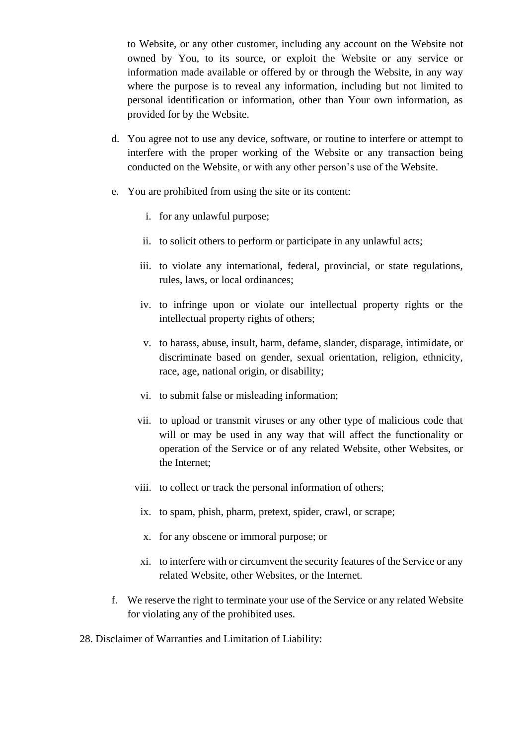to Website, or any other customer, including any account on the Website not owned by You, to its source, or exploit the Website or any service or information made available or offered by or through the Website, in any way where the purpose is to reveal any information, including but not limited to personal identification or information, other than Your own information, as provided for by the Website.

- d. You agree not to use any device, software, or routine to interfere or attempt to interfere with the proper working of the Website or any transaction being conducted on the Website, or with any other person's use of the Website.
- e. You are prohibited from using the site or its content:
	- i. for any unlawful purpose;
	- ii. to solicit others to perform or participate in any unlawful acts;
	- iii. to violate any international, federal, provincial, or state regulations, rules, laws, or local ordinances;
	- iv. to infringe upon or violate our intellectual property rights or the intellectual property rights of others;
	- v. to harass, abuse, insult, harm, defame, slander, disparage, intimidate, or discriminate based on gender, sexual orientation, religion, ethnicity, race, age, national origin, or disability;
	- vi. to submit false or misleading information;
	- vii. to upload or transmit viruses or any other type of malicious code that will or may be used in any way that will affect the functionality or operation of the Service or of any related Website, other Websites, or the Internet;
	- viii. to collect or track the personal information of others;
		- ix. to spam, phish, pharm, pretext, spider, crawl, or scrape;
		- x. for any obscene or immoral purpose; or
	- xi. to interfere with or circumvent the security features of the Service or any related Website, other Websites, or the Internet.
- f. We reserve the right to terminate your use of the Service or any related Website for violating any of the prohibited uses.
- 28. Disclaimer of Warranties and Limitation of Liability: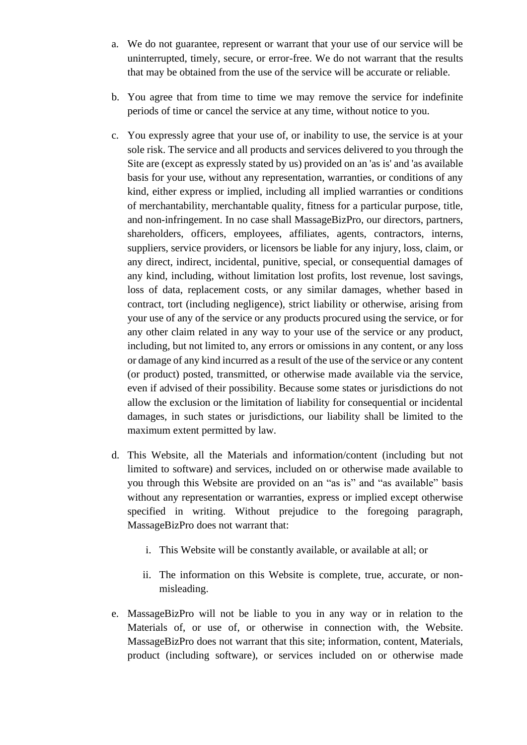- a. We do not guarantee, represent or warrant that your use of our service will be uninterrupted, timely, secure, or error-free. We do not warrant that the results that may be obtained from the use of the service will be accurate or reliable.
- b. You agree that from time to time we may remove the service for indefinite periods of time or cancel the service at any time, without notice to you.
- c. You expressly agree that your use of, or inability to use, the service is at your sole risk. The service and all products and services delivered to you through the Site are (except as expressly stated by us) provided on an 'as is' and 'as available basis for your use, without any representation, warranties, or conditions of any kind, either express or implied, including all implied warranties or conditions of merchantability, merchantable quality, fitness for a particular purpose, title, and non-infringement. In no case shall MassageBizPro, our directors, partners, shareholders, officers, employees, affiliates, agents, contractors, interns, suppliers, service providers, or licensors be liable for any injury, loss, claim, or any direct, indirect, incidental, punitive, special, or consequential damages of any kind, including, without limitation lost profits, lost revenue, lost savings, loss of data, replacement costs, or any similar damages, whether based in contract, tort (including negligence), strict liability or otherwise, arising from your use of any of the service or any products procured using the service, or for any other claim related in any way to your use of the service or any product, including, but not limited to, any errors or omissions in any content, or any loss or damage of any kind incurred as a result of the use of the service or any content (or product) posted, transmitted, or otherwise made available via the service, even if advised of their possibility. Because some states or jurisdictions do not allow the exclusion or the limitation of liability for consequential or incidental damages, in such states or jurisdictions, our liability shall be limited to the maximum extent permitted by law.
- d. This Website, all the Materials and information/content (including but not limited to software) and services, included on or otherwise made available to you through this Website are provided on an "as is" and "as available" basis without any representation or warranties, express or implied except otherwise specified in writing. Without prejudice to the foregoing paragraph, MassageBizPro does not warrant that:
	- i. This Website will be constantly available, or available at all; or
	- ii. The information on this Website is complete, true, accurate, or nonmisleading.
- e. MassageBizPro will not be liable to you in any way or in relation to the Materials of, or use of, or otherwise in connection with, the Website. MassageBizPro does not warrant that this site; information, content, Materials, product (including software), or services included on or otherwise made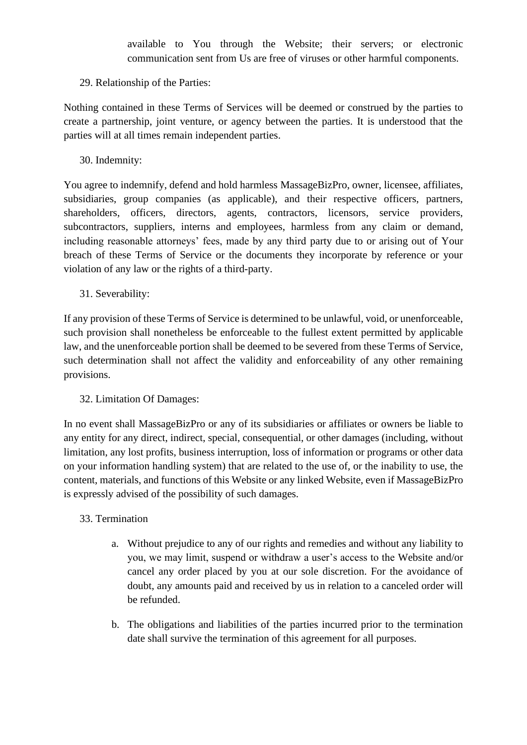available to You through the Website; their servers; or electronic communication sent from Us are free of viruses or other harmful components.

## 29. Relationship of the Parties:

Nothing contained in these Terms of Services will be deemed or construed by the parties to create a partnership, joint venture, or agency between the parties. It is understood that the parties will at all times remain independent parties.

30. Indemnity:

You agree to indemnify, defend and hold harmless MassageBizPro, owner, licensee, affiliates, subsidiaries, group companies (as applicable), and their respective officers, partners, shareholders, officers, directors, agents, contractors, licensors, service providers, subcontractors, suppliers, interns and employees, harmless from any claim or demand, including reasonable attorneys' fees, made by any third party due to or arising out of Your breach of these Terms of Service or the documents they incorporate by reference or your violation of any law or the rights of a third-party.

31. Severability:

If any provision of these Terms of Service is determined to be unlawful, void, or unenforceable, such provision shall nonetheless be enforceable to the fullest extent permitted by applicable law, and the unenforceable portion shall be deemed to be severed from these Terms of Service, such determination shall not affect the validity and enforceability of any other remaining provisions.

### 32. Limitation Of Damages:

In no event shall MassageBizPro or any of its subsidiaries or affiliates or owners be liable to any entity for any direct, indirect, special, consequential, or other damages (including, without limitation, any lost profits, business interruption, loss of information or programs or other data on your information handling system) that are related to the use of, or the inability to use, the content, materials, and functions of this Website or any linked Website, even if MassageBizPro is expressly advised of the possibility of such damages.

### 33. Termination

- a. Without prejudice to any of our rights and remedies and without any liability to you, we may limit, suspend or withdraw a user's access to the Website and/or cancel any order placed by you at our sole discretion. For the avoidance of doubt, any amounts paid and received by us in relation to a canceled order will be refunded.
- b. The obligations and liabilities of the parties incurred prior to the termination date shall survive the termination of this agreement for all purposes.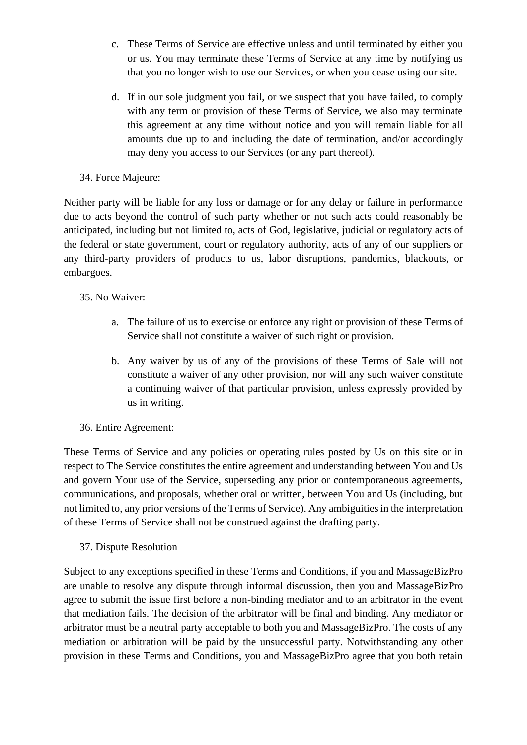- c. These Terms of Service are effective unless and until terminated by either you or us. You may terminate these Terms of Service at any time by notifying us that you no longer wish to use our Services, or when you cease using our site.
- d. If in our sole judgment you fail, or we suspect that you have failed, to comply with any term or provision of these Terms of Service, we also may terminate this agreement at any time without notice and you will remain liable for all amounts due up to and including the date of termination, and/or accordingly may deny you access to our Services (or any part thereof).

## 34. Force Majeure:

Neither party will be liable for any loss or damage or for any delay or failure in performance due to acts beyond the control of such party whether or not such acts could reasonably be anticipated, including but not limited to, acts of God, legislative, judicial or regulatory acts of the federal or state government, court or regulatory authority, acts of any of our suppliers or any third-party providers of products to us, labor disruptions, pandemics, blackouts, or embargoes.

## 35. No Waiver:

- a. The failure of us to exercise or enforce any right or provision of these Terms of Service shall not constitute a waiver of such right or provision.
- b. Any waiver by us of any of the provisions of these Terms of Sale will not constitute a waiver of any other provision, nor will any such waiver constitute a continuing waiver of that particular provision, unless expressly provided by us in writing.

# 36. Entire Agreement:

These Terms of Service and any policies or operating rules posted by Us on this site or in respect to The Service constitutes the entire agreement and understanding between You and Us and govern Your use of the Service, superseding any prior or contemporaneous agreements, communications, and proposals, whether oral or written, between You and Us (including, but not limited to, any prior versions of the Terms of Service). Any ambiguities in the interpretation of these Terms of Service shall not be construed against the drafting party.

### 37. Dispute Resolution

Subject to any exceptions specified in these Terms and Conditions, if you and MassageBizPro are unable to resolve any dispute through informal discussion, then you and MassageBizPro agree to submit the issue first before a non-binding mediator and to an arbitrator in the event that mediation fails. The decision of the arbitrator will be final and binding. Any mediator or arbitrator must be a neutral party acceptable to both you and MassageBizPro. The costs of any mediation or arbitration will be paid by the unsuccessful party. Notwithstanding any other provision in these Terms and Conditions, you and MassageBizPro agree that you both retain